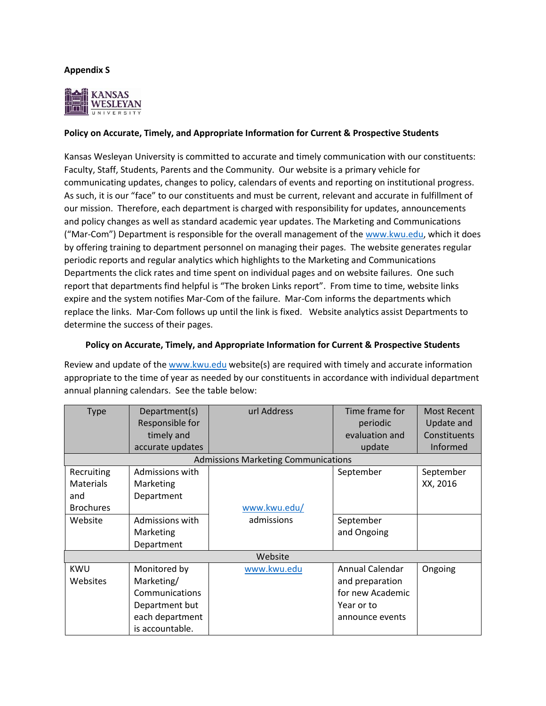## **Appendix S**



## **Policy on Accurate, Timely, and Appropriate Information for Current & Prospective Students**

Kansas Wesleyan University is committed to accurate and timely communication with our constituents: Faculty, Staff, Students, Parents and the Community. Our website is a primary vehicle for communicating updates, changes to policy, calendars of events and reporting on institutional progress. As such, it is our "face" to our constituents and must be current, relevant and accurate in fulfillment of our mission. Therefore, each department is charged with responsibility for updates, announcements and policy changes as well as standard academic year updates. The Marketing and Communications ("Mar-Com") Department is responsible for the overall management of the [www.kwu.edu,](http://www.kwu.edu/) which it does by offering training to department personnel on managing their pages. The website generates regular periodic reports and regular analytics which highlights to the Marketing and Communications Departments the click rates and time spent on individual pages and on website failures. One such report that departments find helpful is "The broken Links report". From time to time, website links expire and the system notifies Mar-Com of the failure. Mar-Com informs the departments which replace the links. Mar-Com follows up until the link is fixed. Website analytics assist Departments to determine the success of their pages.

## **Policy on Accurate, Timely, and Appropriate Information for Current & Prospective Students**

Review and update of th[e www.kwu.edu](http://www.kwu.edu/) website(s) are required with timely and accurate information appropriate to the time of year as needed by our constituents in accordance with individual department annual planning calendars. See the table below:

| <b>Type</b>                                | Department(s)<br>Responsible for<br>timely and | url Address  | Time frame for<br>periodic<br>evaluation and | Most Recent<br>Update and<br>Constituents |  |  |  |
|--------------------------------------------|------------------------------------------------|--------------|----------------------------------------------|-------------------------------------------|--|--|--|
|                                            | accurate updates                               |              | update                                       | Informed                                  |  |  |  |
| <b>Admissions Marketing Communications</b> |                                                |              |                                              |                                           |  |  |  |
| Recruiting                                 | Admissions with                                |              | September                                    | September                                 |  |  |  |
| <b>Materials</b>                           | Marketing                                      |              |                                              | XX, 2016                                  |  |  |  |
| and                                        | Department                                     |              |                                              |                                           |  |  |  |
| <b>Brochures</b>                           |                                                | www.kwu.edu/ |                                              |                                           |  |  |  |
| Website                                    | Admissions with                                | admissions   | September                                    |                                           |  |  |  |
|                                            | Marketing                                      |              | and Ongoing                                  |                                           |  |  |  |
|                                            | Department                                     |              |                                              |                                           |  |  |  |
| Website                                    |                                                |              |                                              |                                           |  |  |  |
| <b>KWU</b>                                 | Monitored by                                   | www.kwu.edu  | Annual Calendar                              | Ongoing                                   |  |  |  |
| Websites                                   | Marketing/                                     |              | and preparation                              |                                           |  |  |  |
|                                            | Communications                                 |              | for new Academic                             |                                           |  |  |  |
|                                            | Department but                                 |              | Year or to                                   |                                           |  |  |  |
|                                            | each department                                |              | announce events                              |                                           |  |  |  |
|                                            | is accountable.                                |              |                                              |                                           |  |  |  |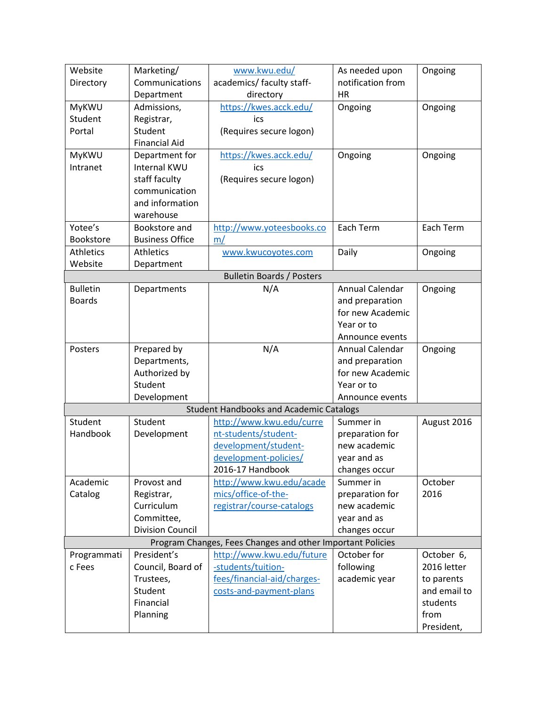| Website          | Marketing/              | www.kwu.edu/                                               | As needed upon    | Ongoing      |
|------------------|-------------------------|------------------------------------------------------------|-------------------|--------------|
| Directory        | Communications          | academics/ faculty staff-                                  | notification from |              |
|                  | Department              | directory                                                  | <b>HR</b>         |              |
| MyKWU            | Admissions,             | https://kwes.acck.edu/                                     | Ongoing           | Ongoing      |
| Student          | Registrar,              | ics                                                        |                   |              |
| Portal           | Student                 | (Requires secure logon)                                    |                   |              |
|                  | <b>Financial Aid</b>    |                                                            |                   |              |
| MyKWU            | Department for          | https://kwes.acck.edu/                                     | Ongoing           | Ongoing      |
| Intranet         | <b>Internal KWU</b>     | ics                                                        |                   |              |
|                  | staff faculty           | (Requires secure logon)                                    |                   |              |
|                  | communication           |                                                            |                   |              |
|                  | and information         |                                                            |                   |              |
|                  | warehouse               |                                                            |                   |              |
| Yotee's          | Bookstore and           | http://www.yoteesbooks.co                                  | Each Term         | Each Term    |
| Bookstore        | <b>Business Office</b>  | m/                                                         |                   |              |
| <b>Athletics</b> | <b>Athletics</b>        | www.kwucoyotes.com                                         | Daily             | Ongoing      |
| Website          |                         |                                                            |                   |              |
|                  | Department              |                                                            |                   |              |
|                  |                         | <b>Bulletin Boards / Posters</b>                           |                   |              |
| <b>Bulletin</b>  | Departments             | N/A                                                        | Annual Calendar   | Ongoing      |
| <b>Boards</b>    |                         |                                                            | and preparation   |              |
|                  |                         |                                                            | for new Academic  |              |
|                  |                         |                                                            | Year or to        |              |
|                  |                         |                                                            | Announce events   |              |
| Posters          | Prepared by             | N/A                                                        | Annual Calendar   | Ongoing      |
|                  | Departments,            |                                                            | and preparation   |              |
|                  | Authorized by           |                                                            | for new Academic  |              |
|                  | Student                 |                                                            | Year or to        |              |
|                  | Development             |                                                            | Announce events   |              |
|                  |                         | <b>Student Handbooks and Academic Catalogs</b>             |                   |              |
| Student          | Student                 | http://www.kwu.edu/curre                                   | Summer in         | August 2016  |
| Handbook         | Development             | nt-students/student-                                       | preparation for   |              |
|                  |                         | development/student-                                       | new academic      |              |
|                  |                         | development-policies/                                      | year and as       |              |
|                  |                         | 2016-17 Handbook                                           | changes occur     |              |
| Academic         | Provost and             | http://www.kwu.edu/acade                                   | Summer in         | October      |
| Catalog          | Registrar,              | mics/office-of-the-                                        | preparation for   | 2016         |
|                  | Curriculum              | registrar/course-catalogs                                  | new academic      |              |
|                  | Committee,              |                                                            | year and as       |              |
|                  | <b>Division Council</b> |                                                            | changes occur     |              |
|                  |                         | Program Changes, Fees Changes and other Important Policies |                   |              |
| Programmati      | President's             | http://www.kwu.edu/future                                  | October for       | October 6,   |
| c Fees           | Council, Board of       | -students/tuition-                                         | following         | 2016 letter  |
|                  | Trustees,               | fees/financial-aid/charges-                                | academic year     | to parents   |
|                  | Student                 | costs-and-payment-plans                                    |                   | and email to |
|                  | Financial               |                                                            |                   | students     |
|                  | Planning                |                                                            |                   | from         |
|                  |                         |                                                            |                   | President,   |